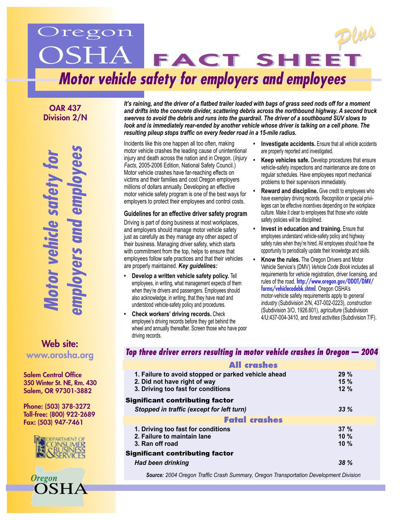# regon OSHA FACT SHEET *Plus Plus* **Motor vehicle safety for employers and employees**

OAR 437 Division 2/N

**Motor vehicle safety for the form**<br>the vers and employe

Web site: <www.orosha.org>

Salem Central Office 350 Winter St. NE, Rm. 430 Salem, OR 97301-3882

Phone: (503) 378-3272 Toll-free: (800) 922-2689 Fax: (503) 947-7461





*It's raining, and the driver of a flatbed trailer loaded with bags of grass seed nods off for a moment and drifts into the concrete divider, scattering debris across the northbound highway. A second truck swerves to avoid the debris and runs into the guardrail. The driver of a southbound SUV slows to*  look and is immediately rear-ended by another vehicle whose driver is talking on a cell phone. The *resulting pileup stops traffic on every feeder road in a 15-mile radius.* 

Incidents like this one happen all too often, making motor vehicle crashes the leading cause of unintentional injury and death across the nation and in Oregon. (*Injury Facts*, 2005-2006 Edition, National Safety Council.) Motor vehicle crashes have far-reaching effects on victims and their families and cost Oregon employers millions of dollars annually. Developing an effective motor vehicle safety program is one of the best ways for employers to protect their employees and control costs.

#### **Guidelines for an effective driver safety program**

Driving is part of doing business at most workplaces, and employers should manage motor vehicle safety just as carefully as they manage any other aspect of their business. Managing driver safety, which starts with commitment from the top, helps to ensure that employees follow safe practices and that their vehicles are properly maintained. *Key guidelines:*

- **Develop a written vehicle safety policy.** Tell employees, in writing, what management expects of them when they're drivers and passengers. Employees should also acknowledge, in writing, that they have read and understood vehicle-safety policy and procedures.
- **Check workers' driving records.** Check employee's driving records before they get behind the wheel and annually thereafter. Screen those who have poor driving records.
- **Investigate accidents.** Ensure that all vehicle accidents are properly reported and investigated.
- **Keep vehicles safe.** Develop procedures that ensure vehicle-safety inspections and maintenance are done on regular schedules. Have employees report mechanical problems to their supervisors immediately.
- **Reward and discipline.** Give credit to employees who have exemplary driving records. Recognition or special privileges can be effective incentives depending on the workplace culture. Make it clear to employees that those who violate safety policies will be disciplined.
- **Invest in education and training.** Ensure that employees understand vehicle-safety policy and highway safety rules when they're hired. All employees should have the opportunity to periodically update their knowledge and skills.
- **Know the rules.** The Oregon Drivers and Motor Vehicle Service's (DMV) *Vehicle Code Book* includes all requirements for vehicle registration, driver licensing, and rules of the road. [http://www.oregon.gov/ODOT/DMV/](http://www.oregon.gov/ODOT/DMV/forms/vehiclecodebk.shtml) [forms/vehiclecodebk.shtml](http://www.oregon.gov/ODOT/DMV/forms/vehiclecodebk.shtml). Oregon OSHA's motor-vehicle safety requirements apply to *general industry* (Subdivision 2/N, 437-002-0223), *construction*  (Subdivision 3/O, 1926.601), *agriculture* (Subdivision 4/U:437-004-3410, and *forest activities* (Subdivision 7/F).

## **Top three driver errors resulting in motor vehicle crashes in Oregon — 2004**

| <b>All crashes</b>                                                                                                        |                       |
|---------------------------------------------------------------------------------------------------------------------------|-----------------------|
| 1. Failure to avoid stopped or parked vehicle ahead<br>2. Did not have right of way<br>3. Driving too fast for conditions | $29 \%$<br>15%<br>12% |
| <b>Significant contributing factor</b>                                                                                    |                       |
| Stopped in traffic (except for left turn)                                                                                 | 33%                   |
| <b>Fatal crashes</b>                                                                                                      |                       |
| 1. Driving too fast for conditions<br>2. Failure to maintain lane<br>3. Ran off road                                      | 37%<br>10%<br>10%     |
| <b>Significant contributing factor</b>                                                                                    |                       |
| <b>Had been drinking</b>                                                                                                  | 38%                   |

*Source: 2004 Oregon Traffic Crash Summary, Oregon Transportation Development Division*